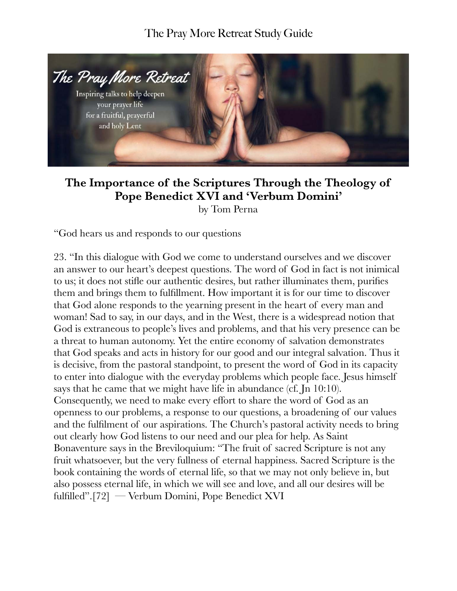# The Pray More Retreat Study Guide



# **The Importance of the Scriptures Through the Theology of Pope Benedict XVI and 'Verbum Domini'**

by Tom Perna

"God hears us and responds to our questions

23. "In this dialogue with God we come to understand ourselves and we discover an answer to our heart's deepest questions. The word of God in fact is not inimical to us; it does not stifle our authentic desires, but rather illuminates them, purifies them and brings them to fulfillment. How important it is for our time to discover that God alone responds to the yearning present in the heart of every man and woman! Sad to say, in our days, and in the West, there is a widespread notion that God is extraneous to people's lives and problems, and that his very presence can be a threat to human autonomy. Yet the entire economy of salvation demonstrates that God speaks and acts in history for our good and our integral salvation. Thus it is decisive, from the pastoral standpoint, to present the word of God in its capacity to enter into dialogue with the everyday problems which people face. Jesus himself says that he came that we might have life in abundance (cf. Jn 10:10). Consequently, we need to make every effort to share the word of God as an openness to our problems, a response to our questions, a broadening of our values and the fulfilment of our aspirations. The Church's pastoral activity needs to bring out clearly how God listens to our need and our plea for help. As Saint Bonaventure says in the Breviloquium: "The fruit of sacred Scripture is not any fruit whatsoever, but the very fullness of eternal happiness. Sacred Scripture is the book containing the words of eternal life, so that we may not only believe in, but also possess eternal life, in which we will see and love, and all our desires will be fulfilled".[72] — Verbum Domini, Pope Benedict XVI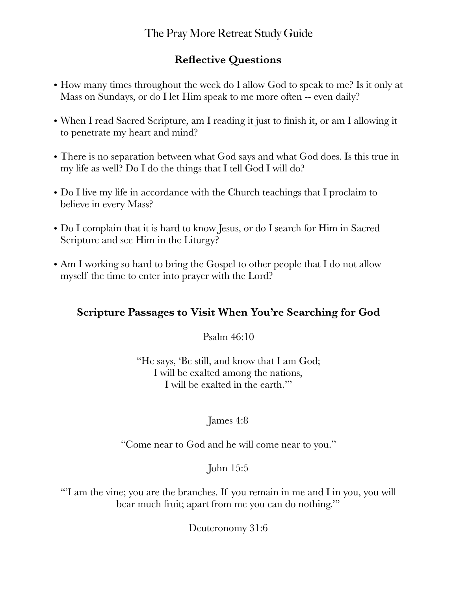## **Reflective Questions**

- How many times throughout the week do I allow God to speak to me? Is it only at Mass on Sundays, or do I let Him speak to me more often -- even daily?
- When I read Sacred Scripture, am I reading it just to finish it, or am I allowing it to penetrate my heart and mind?
- There is no separation between what God says and what God does. Is this true in my life as well? Do I do the things that I tell God I will do?
- Do I live my life in accordance with the Church teachings that I proclaim to believe in every Mass?
- Do I complain that it is hard to know Jesus, or do I search for Him in Sacred Scripture and see Him in the Liturgy?
- Am I working so hard to bring the Gospel to other people that I do not allow myself the time to enter into prayer with the Lord?

## **Scripture Passages to Visit When You're Searching for God**

Psalm 46:10

"He says, 'Be still, and know that I am God; I will be exalted among the nations, I will be exalted in the earth.'"

### James 4:8

"Come near to God and he will come near to you."

## John 15:5

"'I am the vine; you are the branches. If you remain in me and I in you, you will bear much fruit; apart from me you can do nothing.'"

Deuteronomy 31:6